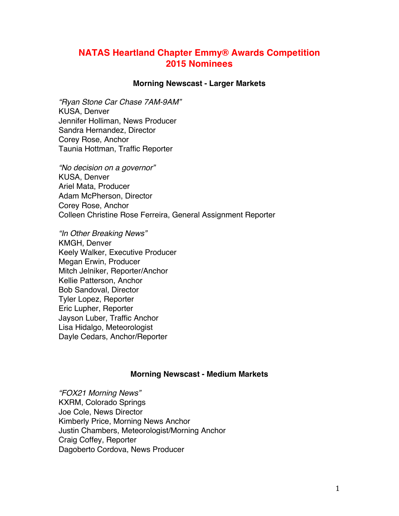# **NATAS Heartland Chapter Emmy® Awards Competition 2015 Nominees**

### **Morning Newscast - Larger Markets**

*"Ryan Stone Car Chase 7AM-9AM"* KUSA, Denver Jennifer Holliman, News Producer Sandra Hernandez, Director Corey Rose, Anchor Taunia Hottman, Traffic Reporter

*"No decision on a governor"* KUSA, Denver Ariel Mata, Producer Adam McPherson, Director Corey Rose, Anchor Colleen Christine Rose Ferreira, General Assignment Reporter

*"In Other Breaking News"* KMGH, Denver Keely Walker, Executive Producer Megan Erwin, Producer Mitch Jelniker, Reporter/Anchor Kellie Patterson, Anchor Bob Sandoval, Director Tyler Lopez, Reporter Eric Lupher, Reporter Jayson Luber, Traffic Anchor Lisa Hidalgo, Meteorologist Dayle Cedars, Anchor/Reporter

## **Morning Newscast - Medium Markets**

*"FOX21 Morning News"* KXRM, Colorado Springs Joe Cole, News Director Kimberly Price, Morning News Anchor Justin Chambers, Meteorologist/Morning Anchor Craig Coffey, Reporter Dagoberto Cordova, News Producer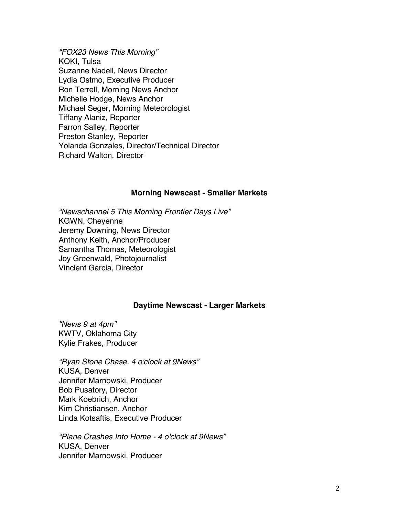*"FOX23 News This Morning"* KOKI, Tulsa Suzanne Nadell, News Director Lydia Ostmo, Executive Producer Ron Terrell, Morning News Anchor Michelle Hodge, News Anchor Michael Seger, Morning Meteorologist Tiffany Alaniz, Reporter Farron Salley, Reporter Preston Stanley, Reporter Yolanda Gonzales, Director/Technical Director Richard Walton, Director

### **Morning Newscast - Smaller Markets**

*"Newschannel 5 This Morning Frontier Days Live"* KGWN, Cheyenne Jeremy Downing, News Director Anthony Keith, Anchor/Producer Samantha Thomas, Meteorologist Joy Greenwald, Photojournalist Vincient Garcia, Director

## **Daytime Newscast - Larger Markets**

*"News 9 at 4pm"* KWTV, Oklahoma City Kylie Frakes, Producer

*"Ryan Stone Chase, 4 o'clock at 9News"* KUSA, Denver Jennifer Marnowski, Producer Bob Pusatory, Director Mark Koebrich, Anchor Kim Christiansen, Anchor Linda Kotsaftis, Executive Producer

*"Plane Crashes Into Home - 4 o'clock at 9News"* KUSA, Denver Jennifer Marnowski, Producer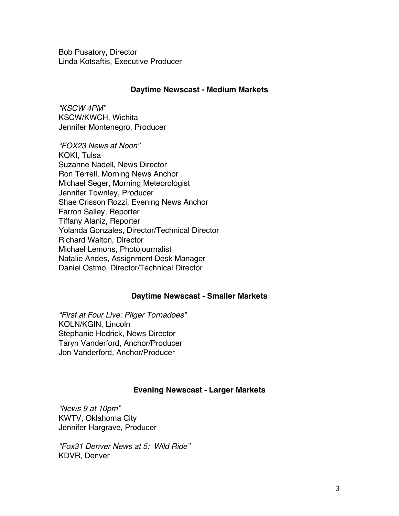Bob Pusatory, Director Linda Kotsaftis, Executive Producer

## **Daytime Newscast - Medium Markets**

*"KSCW 4PM"* KSCW/KWCH, Wichita Jennifer Montenegro, Producer

*"FOX23 News at Noon"* KOKI, Tulsa Suzanne Nadell, News Director Ron Terrell, Morning News Anchor Michael Seger, Morning Meteorologist Jennifer Townley, Producer Shae Crisson Rozzi, Evening News Anchor Farron Salley, Reporter Tiffany Alaniz, Reporter Yolanda Gonzales, Director/Technical Director Richard Walton, Director Michael Lemons, Photojournalist Natalie Andes, Assignment Desk Manager Daniel Ostmo, Director/Technical Director

## **Daytime Newscast - Smaller Markets**

*"First at Four Live: Pilger Tornadoes"* KOLN/KGIN, Lincoln Stephanie Hedrick, News Director Taryn Vanderford, Anchor/Producer Jon Vanderford, Anchor/Producer

## **Evening Newscast - Larger Markets**

*"News 9 at 10pm"* KWTV, Oklahoma City Jennifer Hargrave, Producer

*"Fox31 Denver News at 5: Wild Ride"* KDVR, Denver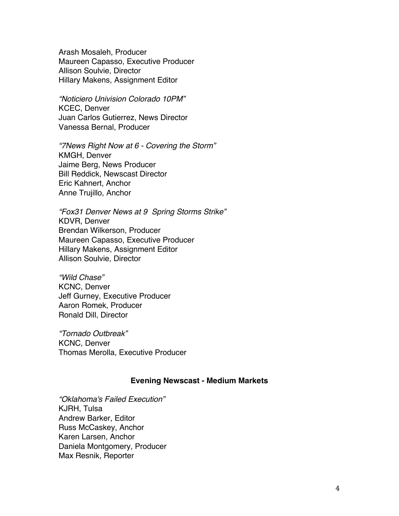Arash Mosaleh, Producer Maureen Capasso, Executive Producer Allison Soulvie, Director Hillary Makens, Assignment Editor

*"Noticiero Univision Colorado 10PM"* KCEC, Denver Juan Carlos Gutierrez, News Director Vanessa Bernal, Producer

*"7News Right Now at 6 - Covering the Storm"* KMGH, Denver Jaime Berg, News Producer Bill Reddick, Newscast Director Eric Kahnert, Anchor Anne Trujillo, Anchor

*"Fox31 Denver News at 9 Spring Storms Strike"* KDVR, Denver Brendan Wilkerson, Producer Maureen Capasso, Executive Producer Hillary Makens, Assignment Editor Allison Soulvie, Director

*"Wild Chase"* KCNC, Denver Jeff Gurney, Executive Producer Aaron Romek, Producer Ronald Dill, Director

*"Tornado Outbreak"* KCNC, Denver Thomas Merolla, Executive Producer

## **Evening Newscast - Medium Markets**

*"Oklahoma's Failed Execution"* KJRH, Tulsa Andrew Barker, Editor Russ McCaskey, Anchor Karen Larsen, Anchor Daniela Montgomery, Producer Max Resnik, Reporter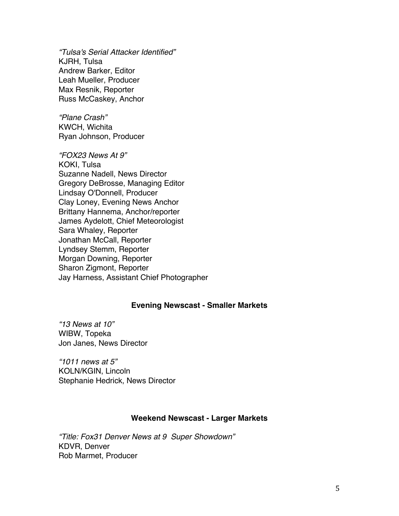*"Tulsa's Serial Attacker Identified"* KJRH, Tulsa Andrew Barker, Editor Leah Mueller, Producer Max Resnik, Reporter Russ McCaskey, Anchor

*"Plane Crash"* KWCH, Wichita Ryan Johnson, Producer

*"FOX23 News At 9"* KOKI, Tulsa Suzanne Nadell, News Director Gregory DeBrosse, Managing Editor Lindsay O'Donnell, Producer Clay Loney, Evening News Anchor Brittany Hannema, Anchor/reporter James Aydelott, Chief Meteorologist Sara Whaley, Reporter Jonathan McCall, Reporter Lyndsey Stemm, Reporter Morgan Downing, Reporter Sharon Zigmont, Reporter Jay Harness, Assistant Chief Photographer

## **Evening Newscast - Smaller Markets**

*"13 News at 10"* WIBW, Topeka Jon Janes, News Director

*"1011 news at 5"* KOLN/KGIN, Lincoln Stephanie Hedrick, News Director

## **Weekend Newscast - Larger Markets**

*"Title: Fox31 Denver News at 9 Super Showdown"* KDVR, Denver Rob Marmet, Producer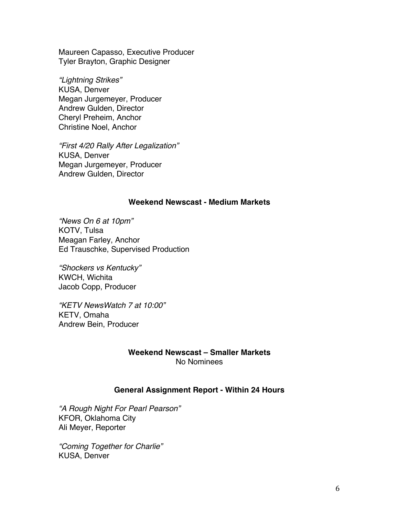Maureen Capasso, Executive Producer Tyler Brayton, Graphic Designer

*"Lightning Strikes"* KUSA, Denver Megan Jurgemeyer, Producer Andrew Gulden, Director Cheryl Preheim, Anchor Christine Noel, Anchor

*"First 4/20 Rally After Legalization"* KUSA, Denver Megan Jurgemeyer, Producer Andrew Gulden, Director

## **Weekend Newscast - Medium Markets**

*"News On 6 at 10pm"* KOTV, Tulsa Meagan Farley, Anchor Ed Trauschke, Supervised Production

*"Shockers vs Kentucky"* KWCH, Wichita Jacob Copp, Producer

*"KETV NewsWatch 7 at 10:00"* KETV, Omaha Andrew Bein, Producer

## **Weekend Newscast – Smaller Markets** No Nominees

## **General Assignment Report - Within 24 Hours**

*"A Rough Night For Pearl Pearson"* KFOR, Oklahoma City Ali Meyer, Reporter

*"Coming Together for Charlie"* KUSA, Denver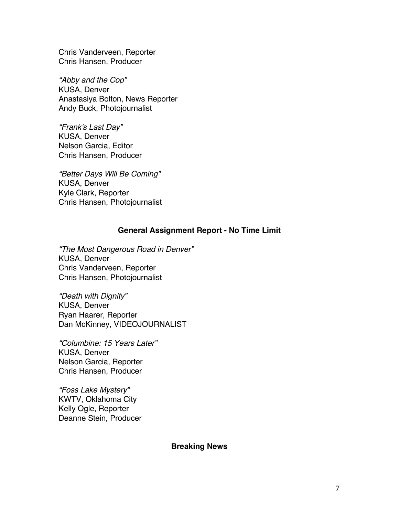Chris Vanderveen, Reporter Chris Hansen, Producer

*"Abby and the Cop"* KUSA, Denver Anastasiya Bolton, News Reporter Andy Buck, Photojournalist

*"Frank's Last Day"* KUSA, Denver Nelson Garcia, Editor Chris Hansen, Producer

*"Better Days Will Be Coming"* KUSA, Denver Kyle Clark, Reporter Chris Hansen, Photojournalist

## **General Assignment Report - No Time Limit**

*"The Most Dangerous Road in Denver"* KUSA, Denver Chris Vanderveen, Reporter Chris Hansen, Photojournalist

*"Death with Dignity"* KUSA, Denver Ryan Haarer, Reporter Dan McKinney, VIDEOJOURNALIST

*"Columbine: 15 Years Later"* KUSA, Denver Nelson Garcia, Reporter Chris Hansen, Producer

*"Foss Lake Mystery"* KWTV, Oklahoma City Kelly Ogle, Reporter Deanne Stein, Producer

## **Breaking News**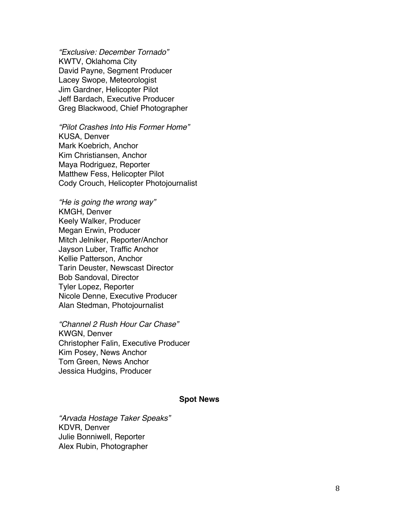*"Exclusive: December Tornado "* KWTV, Oklahoma City David Payne, Segment Producer Lacey Swope, Meteorologist Jim Gardner, Helicopter Pilot Jeff Bardach, Executive Producer Greg Blackwood, Chief Photographer

*"Pilot Crashes Into His Former Home "* KUSA, Denver Mark Koebrich, Anchor Kim Christiansen, Anchor Maya Rodriguez, Reporter Matthew Fess, Helicopter Pilot Cody Crouch, Helicopter Photojournalist

*"He is going the wrong way"* KMGH, Denver Keely Walker, Producer Megan Erwin, Producer Mitch Jelniker, Reporter/Anchor Jayson Luber, Traffic Anchor Kellie Patterson, Anchor Tarin Deuster, Newscast Director Bob Sandoval, Director Tyler Lopez, Reporter Nicole Denne, Executive Producer Alan Stedman, Photojournalist

*"Channel 2 Rush Hour Car Chase "* KWGN, Denver Christopher Falin, Executive Producer Kim Posey, News Anchor Tom Green, News Anchor Jessica Hudgins, Producer

## **Spot News**

*"Arvada Hostage Taker Speaks "* KDVR, Denver Julie Bonniwell, Reporter Alex Rubin, Photographer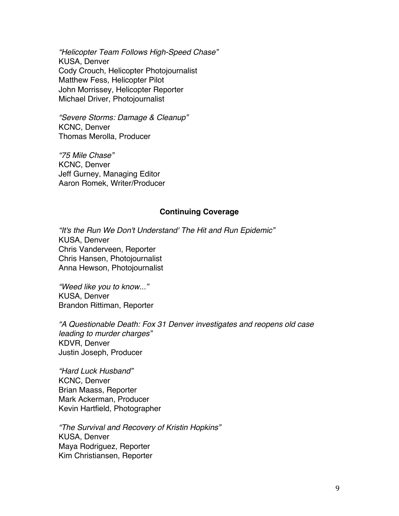*"Helicopter Team Follows High-Speed Chase"* KUSA, Denver Cody Crouch, Helicopter Photojournalist Matthew Fess, Helicopter Pilot John Morrissey, Helicopter Reporter Michael Driver, Photojournalist

*"Severe Storms: Damage & Cleanup"* KCNC, Denver Thomas Merolla, Producer

*"75 Mile Chase"* KCNC, Denver Jeff Gurney, Managing Editor Aaron Romek, Writer/Producer

## **Continuing Coverage**

*"It's the Run We Don't Understand' The Hit and Run Epidemic"* KUSA, Denver Chris Vanderveen, Reporter Chris Hansen, Photojournalist Anna Hewson, Photojournalist

*"Weed like you to know..."* KUSA, Denver Brandon Rittiman, Reporter

*"A Questionable Death: Fox 31 Denver investigates and reopens old case leading to murder charges"* KDVR, Denver Justin Joseph, Producer

*"Hard Luck Husband"* KCNC, Denver Brian Maass, Reporter Mark Ackerman, Producer Kevin Hartfield, Photographer

*"The Survival and Recovery of Kristin Hopkins"* KUSA, Denver Maya Rodriguez, Reporter Kim Christiansen, Reporter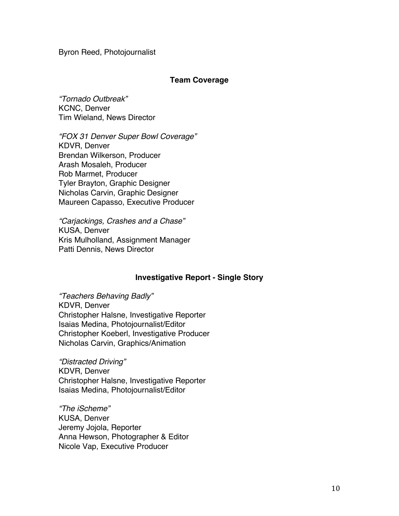Byron Reed, Photojournalist

## **Team Coverage**

*"Tornado Outbreak"* KCNC, Denver Tim Wieland, News Director

*"FOX 31 Denver Super Bowl Coverage"* KDVR, Denver Brendan Wilkerson, Producer Arash Mosaleh, Producer Rob Marmet, Producer Tyler Brayton, Graphic Designer Nicholas Carvin, Graphic Designer Maureen Capasso, Executive Producer

*"Carjackings, Crashes and a Chase"* KUSA, Denver Kris Mulholland, Assignment Manager Patti Dennis, News Director

## **Investigative Report - Single Story**

*"Teachers Behaving Badly"* KDVR, Denver Christopher Halsne, Investigative Reporter Isaias Medina, Photojournalist/Editor Christopher Koeberl, Investigative Producer Nicholas Carvin, Graphics/Animation

*"Distracted Driving"* KDVR, Denver Christopher Halsne, Investigative Reporter Isaias Medina, Photojournalist/Editor

*"The iScheme"* KUSA, Denver Jeremy Jojola, Reporter Anna Hewson, Photographer & Editor Nicole Vap, Executive Producer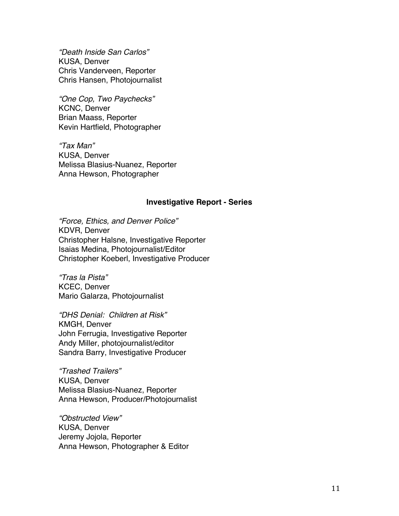*"Death Inside San Carlos"* KUSA, Denver Chris Vanderveen, Reporter Chris Hansen, Photojournalist

*"One Cop, Two Paychecks"* KCNC, Denver Brian Maass, Reporter Kevin Hartfield, Photographer

*"Tax Man"* KUSA, Denver Melissa Blasius-Nuanez, Reporter Anna Hewson, Photographer

#### **Investigative Report - Series**

*"Force, Ethics, and Denver Police"* KDVR, Denver Christopher Halsne, Investigative Reporter Isaias Medina, Photojournalist/Editor Christopher Koeberl, Investigative Producer

*"Tras la Pista"* KCEC, Denver Mario Galarza, Photojournalist

*"DHS Denial: Children at Risk"* KMGH, Denver John Ferrugia, Investigative Reporter Andy Miller, photojournalist/editor Sandra Barry, Investigative Producer

*"Trashed Trailers"* KUSA, Denver Melissa Blasius-Nuanez, Reporter Anna Hewson, Producer/Photojournalist

*"Obstructed View"* KUSA, Denver Jeremy Jojola, Reporter Anna Hewson, Photographer & Editor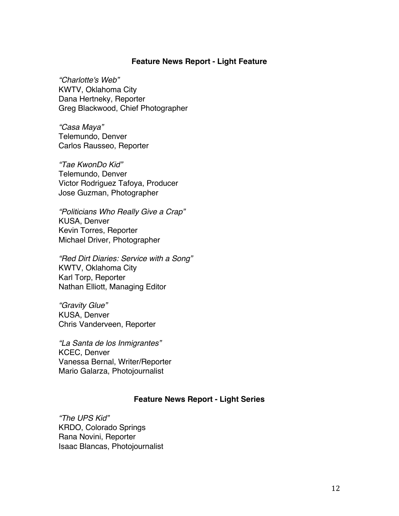### **Feature News Report - Light Feature**

*"Charlotte's Web"* KWTV, Oklahoma City Dana Hertneky, Reporter Greg Blackwood, Chief Photographer

*"Casa Maya"* Telemundo, Denver Carlos Rausseo, Reporter

*"Tae KwonDo Kid"* Telemundo, Denver Victor Rodriguez Tafoya, Producer Jose Guzman, Photographer

*"Politicians Who Really Give a Crap"* KUSA, Denver Kevin Torres, Reporter Michael Driver, Photographer

*"Red Dirt Diaries: Service with a Song"* KWTV, Oklahoma City Karl Torp, Reporter Nathan Elliott, Managing Editor

*"Gravity Glue"* KUSA, Denver Chris Vanderveen, Reporter

*"La Santa de los Inmigrantes"* KCEC, Denver Vanessa Bernal, Writer/Reporter Mario Galarza, Photojournalist

## **Feature News Report - Light Series**

*"The UPS Kid"* KRDO, Colorado Springs Rana Novini, Reporter Isaac Blancas, Photojournalist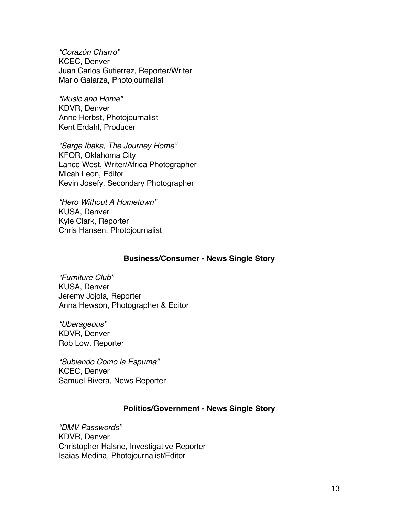*"Corazón Charro"* KCEC, Denver Juan Carlos Gutierrez, Reporter/Writer Mario Galarza, Photojournalist

*"Music and Home"* KDVR, Denver Anne Herbst, Photojournalist Kent Erdahl, Producer

*"Serge Ibaka, The Journey Home"* KFOR, Oklahoma City Lance West, Writer/Africa Photographer Micah Leon, Editor Kevin Josefy, Secondary Photographer

*"Hero Without A Hometown"* KUSA, Denver Kyle Clark, Reporter Chris Hansen, Photojournalist

#### **Business/Consumer - News Single Story**

*"Furniture Club"* KUSA, Denver Jeremy Jojola, Reporter Anna Hewson, Photographer & Editor

*"Uberageous"* KDVR, Denver Rob Low, Reporter

*"Subiendo Como la Espuma"* KCEC, Denver Samuel Rivera, News Reporter

## **Politics/Government - News Single Story**

*"DMV Passwords"* KDVR, Denver Christopher Halsne, Investigative Reporter Isaias Medina, Photojournalist/Editor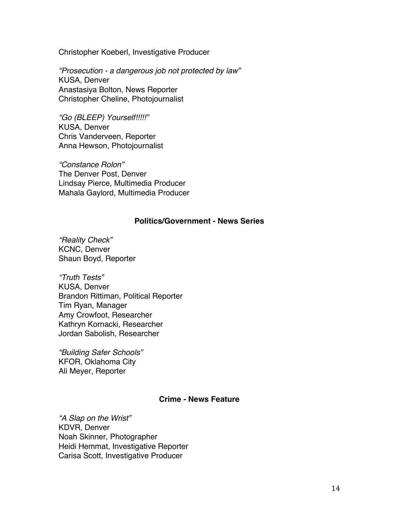Christopher Koeberl, Investigative Producer

*"Prosecution - a dangerous job not protected by law"* KUSA, Denver Anastasiya Bolton, News Reporter Christopher Cheline, Photojournalist

*"Go (BLEEP) Yourself!!!!!"* KUSA, Denver Chris Vanderveen, Reporter Anna Hewson, Photojournalist

*"Constance Rolon"* The Denver Post, Denver Lindsay Pierce, Multimedia Producer Mahala Gaylord, Multimedia Producer

## **Politics/Government - News Series**

*"Reality Check"* KCNC, Denver Shaun Boyd, Reporter

*"Truth Tests"* KUSA, Denver Brandon Rittiman, Political Reporter Tim Ryan, Manager Amy Crowfoot, Researcher Kathryn Kornacki, Researcher Jordan Sabolish, Researcher

*"Building Safer Schools"* KFOR, Oklahoma City Ali Meyer, Reporter

## **Crime - News Feature**

*"A Slap on the Wrist"* KDVR, Denver Noah Skinner, Photographer Heidi Hemmat, Investigative Reporter Carisa Scott, Investigative Producer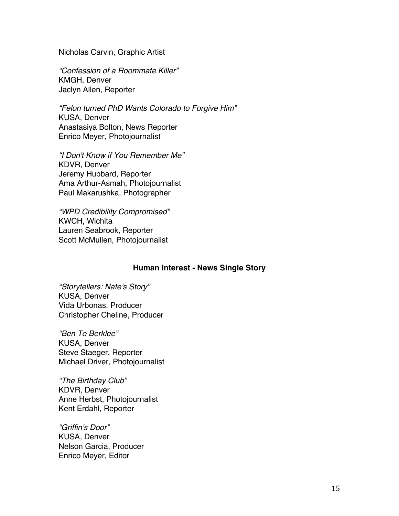Nicholas Carvin, Graphic Artist

*"Confession of a Roommate Killer"* KMGH, Denver Jaclyn Allen, Reporter

*"Felon turned PhD Wants Colorado to Forgive Him"* KUSA, Denver Anastasiya Bolton, News Reporter Enrico Meyer, Photojournalist

*"I Don't Know if You Remember Me"* KDVR, Denver Jeremy Hubbard, Reporter Ama Arthur-Asmah, Photojournalist Paul Makarushka, Photographer

*"WPD Credibility Compromised"* KWCH, Wichita Lauren Seabrook, Reporter Scott McMullen, Photojournalist

## **Human Interest - News Single Story**

*"Storytellers: Nate's Story"* KUSA, Denver Vida Urbonas, Producer Christopher Cheline, Producer

*"Ben To Berklee"* KUSA, Denver Steve Staeger, Reporter Michael Driver, Photojournalist

*"The Birthday Club"* KDVR, Denver Anne Herbst, Photojournalist Kent Erdahl, Reporter

*"Griffin's Door"* KUSA, Denver Nelson Garcia, Producer Enrico Meyer, Editor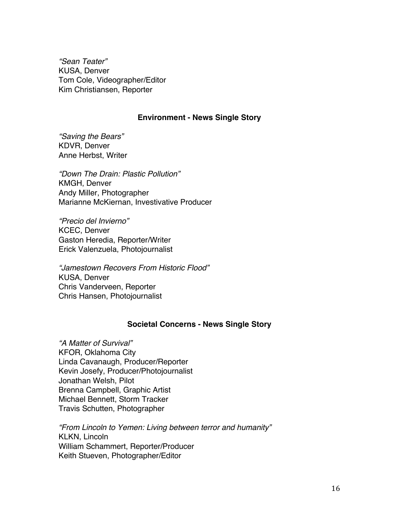*"Sean Teater"* KUSA, Denver Tom Cole, Videographer/Editor Kim Christiansen, Reporter

## **Environment - News Single Story**

*"Saving the Bears"* KDVR, Denver Anne Herbst, Writer

*"Down The Drain: Plastic Pollution"* KMGH, Denver Andy Miller, Photographer Marianne McKiernan, Investivative Producer

*"Precio del Invierno"* KCEC, Denver Gaston Heredia, Reporter/Writer Erick Valenzuela, Photojournalist

*"Jamestown Recovers From Historic Flood"* KUSA, Denver Chris Vanderveen, Reporter Chris Hansen, Photojournalist

## **Societal Concerns - News Single Story**

*"A Matter of Survival"* KFOR, Oklahoma City Linda Cavanaugh, Producer/Reporter Kevin Josefy, Producer/Photojournalist Jonathan Welsh, Pilot Brenna Campbell, Graphic Artist Michael Bennett, Storm Tracker Travis Schutten, Photographer

*"From Lincoln to Yemen: Living between terror and humanity"* KLKN, Lincoln William Schammert, Reporter/Producer Keith Stueven, Photographer/Editor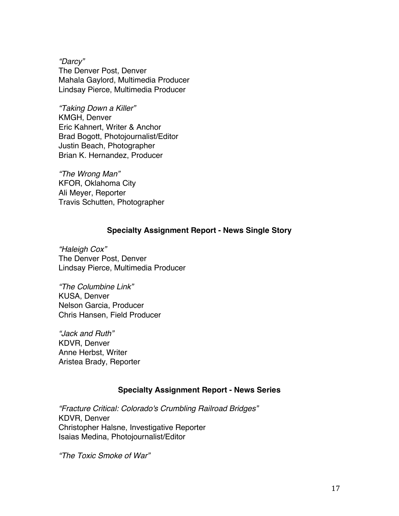*"Darcy"* The Denver Post, Denver Mahala Gaylord, Multimedia Producer Lindsay Pierce, Multimedia Producer

*"Taking Down a Killer"* KMGH, Denver Eric Kahnert, Writer & Anchor Brad Bogott, Photojournalist/Editor Justin Beach, Photographer Brian K. Hernandez, Producer

*"The Wrong Man"* KFOR, Oklahoma City Ali Meyer, Reporter Travis Schutten, Photographer

## **Specialty Assignment Report - News Single Story**

*"Haleigh Cox"* The Denver Post, Denver Lindsay Pierce, Multimedia Producer

*"The Columbine Link"* KUSA, Denver Nelson Garcia, Producer Chris Hansen, Field Producer

*"Jack and Ruth"* KDVR, Denver Anne Herbst, Writer Aristea Brady, Reporter

## **Specialty Assignment Report - News Series**

*"Fracture Critical: Colorado's Crumbling Railroad Bridges"* KDVR, Denver Christopher Halsne, Investigative Reporter Isaias Medina, Photojournalist/Editor

*"The Toxic Smoke of War"*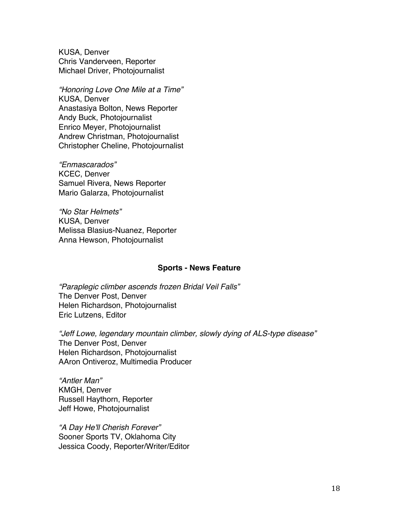KUSA, Denver Chris Vanderveen, Reporter Michael Driver, Photojournalist

*"Honoring Love One Mile at a Time"* KUSA, Denver Anastasiya Bolton, News Reporter Andy Buck, Photojournalist Enrico Meyer, Photojournalist Andrew Christman, Photojournalist Christopher Cheline, Photojournalist

*"Enmascarados"* KCEC, Denver Samuel Rivera, News Reporter Mario Galarza, Photojournalist

*"No Star Helmets"* KUSA, Denver Melissa Blasius-Nuanez, Reporter Anna Hewson, Photojournalist

#### **Sports - News Feature**

*"Paraplegic climber ascends frozen Bridal Veil Falls"* The Denver Post, Denver Helen Richardson, Photojournalist Eric Lutzens, Editor

*"Jeff Lowe, legendary mountain climber, slowly dying of ALS-type disease"* The Denver Post, Denver Helen Richardson, Photojournalist AAron Ontiveroz, Multimedia Producer

*"Antler Man"* KMGH, Denver Russell Haythorn, Reporter Jeff Howe, Photojournalist

*"A Day He'll Cherish Forever"* Sooner Sports TV, Oklahoma City Jessica Coody, Reporter/Writer/Editor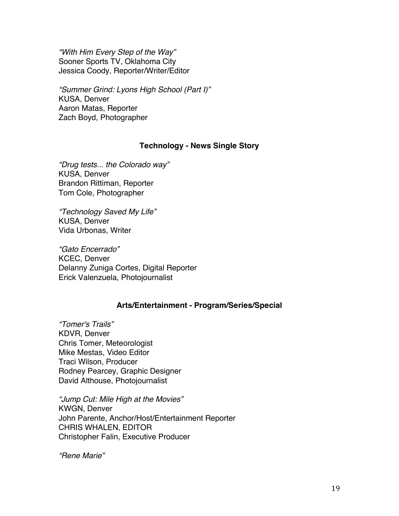*"With Him Every Step of the Way"* Sooner Sports TV, Oklahoma City Jessica Coody, Reporter/Writer/Editor

*"Summer Grind: Lyons High School (Part I)"* KUSA, Denver Aaron Matas, Reporter Zach Boyd, Photographer

## **Technology - News Single Story**

*"Drug tests... the Colorado way"* KUSA, Denver Brandon Rittiman, Reporter Tom Cole, Photographer

*"Technology Saved My Life"* KUSA, Denver Vida Urbonas, Writer

*"Gato Encerrado"* KCEC, Denver Delanny Zuniga Cortes, Digital Reporter Erick Valenzuela, Photojournalist

## **Arts/Entertainment - Program/Series/Special**

*"Tomer's Trails"* KDVR, Denver Chris Tomer, Meteorologist Mike Mestas, Video Editor Traci Wilson, Producer Rodney Pearcey, Graphic Designer David Althouse, Photojournalist

*"Jump Cut: Mile High at the Movies"* KWGN, Denver John Parente, Anchor/Host/Entertainment Reporter CHRIS WHALEN, EDITOR Christopher Falin, Executive Producer

*"Rene Marie"*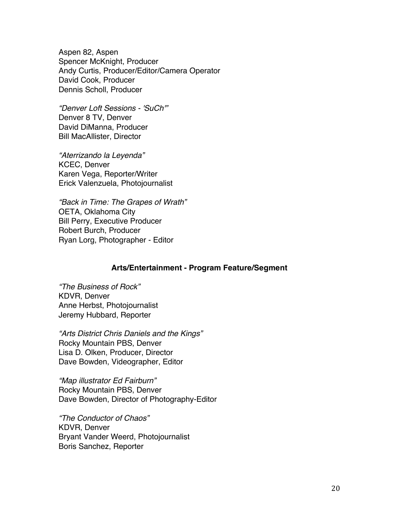Aspen 82, Aspen Spencer McKnight, Producer Andy Curtis, Producer/Editor/Camera Operator David Cook, Producer Dennis Scholl, Producer

*"Denver Loft Sessions - 'SuCh'"* Denver 8 TV, Denver David DiManna, Producer Bill MacAllister, Director

*"Aterrizando la Leyenda"* KCEC, Denver Karen Vega, Reporter/Writer Erick Valenzuela, Photojournalist

*"Back in Time: The Grapes of Wrath"* OETA, Oklahoma City Bill Perry, Executive Producer Robert Burch, Producer Ryan Lorg, Photographer - Editor

## **Arts/Entertainment - Program Feature/Segment**

*"The Business of Rock"* KDVR, Denver Anne Herbst, Photojournalist Jeremy Hubbard, Reporter

*"Arts District Chris Daniels and the Kings"* Rocky Mountain PBS, Denver Lisa D. Olken, Producer, Director Dave Bowden, Videographer, Editor

*"Map illustrator Ed Fairburn"* Rocky Mountain PBS, Denver Dave Bowden, Director of Photography-Editor

*"The Conductor of Chaos"* KDVR, Denver Bryant Vander Weerd, Photojournalist Boris Sanchez, Reporter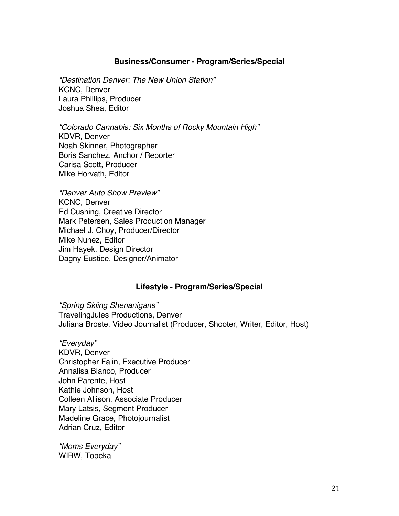## **Business/Consumer - Program/Series/Special**

*"Destination Denver: The New Union Station"* KCNC, Denver Laura Phillips, Producer Joshua Shea, Editor

*"Colorado Cannabis: Six Months of Rocky Mountain High"* KDVR, Denver Noah Skinner, Photographer Boris Sanchez, Anchor / Reporter Carisa Scott, Producer Mike Horvath, Editor

*"Denver Auto Show Preview"* KCNC, Denver Ed Cushing, Creative Director Mark Petersen, Sales Production Manager Michael J. Choy, Producer/Director Mike Nunez, Editor Jim Hayek, Design Director Dagny Eustice, Designer/Animator

## **Lifestyle - Program/Series/Special**

*"Spring Skiing Shenanigans"* TravelingJules Productions, Denver Juliana Broste, Video Journalist (Producer, Shooter, Writer, Editor, Host)

*"Everyday"* KDVR, Denver Christopher Falin, Executive Producer Annalisa Blanco, Producer John Parente, Host Kathie Johnson, Host Colleen Allison, Associate Producer Mary Latsis, Segment Producer Madeline Grace, Photojournalist Adrian Cruz, Editor

*"Moms Everyday"* WIBW, Topeka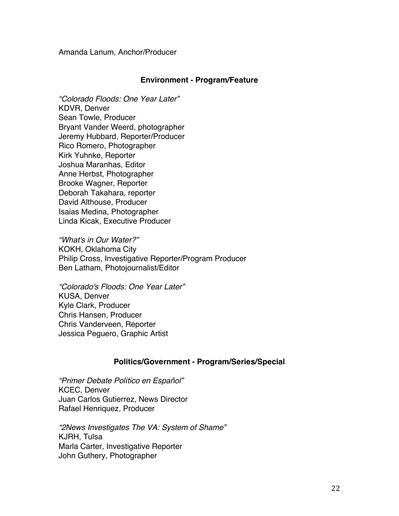Amanda Lanum, Anchor/Producer

## **Environment - Program/Feature**

*"Colorado Floods: One Year Later"* KDVR, Denver Sean Towle, Producer Bryant Vander Weerd, photographer Jeremy Hubbard, Reporter/Producer Rico Romero, Photographer Kirk Yuhnke, Reporter Joshua Maranhas, Editor Anne Herbst, Photographer Brooke Wagner, Reporter Deborah Takahara, reporter David Althouse, Producer Isaias Medina, Photographer Linda Kicak, Executive Producer

*"What's in Our Water?"* KOKH, Oklahoma City Philip Cross, Investigative Reporter/Program Producer Ben Latham, Photojournalist/Editor

*"Colorado's Floods: One Year Later"* KUSA, Denver Kyle Clark, Producer Chris Hansen, Producer Chris Vanderveen, Reporter Jessica Peguero, Graphic Artist

## **Politics/Government - Program/Series/Special**

*"Primer Debate Político en Español"* KCEC, Denver Juan Carlos Gutierrez, News Director Rafael Henriquez, Producer

*"2News Investigates The VA: System of Shame"* KJRH, Tulsa Marla Carter, Investigative Reporter John Guthery, Photographer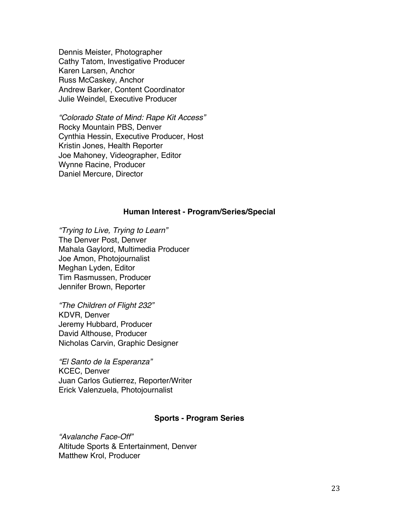Dennis Meister, Photographer Cathy Tatom, Investigative Producer Karen Larsen, Anchor Russ McCaskey, Anchor Andrew Barker, Content Coordinator Julie Weindel, Executive Producer

*"Colorado State of Mind: Rape Kit Access"* Rocky Mountain PBS, Denver Cynthia Hessin, Executive Producer, Host Kristin Jones, Health Reporter Joe Mahoney, Videographer, Editor Wynne Racine, Producer Daniel Mercure, Director

### **Human Interest - Program/Series/Special**

*"Trying to Live, Trying to Learn"* The Denver Post, Denver Mahala Gaylord, Multimedia Producer Joe Amon, Photojournalist Meghan Lyden, Editor Tim Rasmussen, Producer Jennifer Brown, Reporter

*"The Children of Flight 232"* KDVR, Denver Jeremy Hubbard, Producer David Althouse, Producer Nicholas Carvin, Graphic Designer

*"El Santo de la Esperanza"* KCEC, Denver Juan Carlos Gutierrez, Reporter/Writer Erick Valenzuela, Photojournalist

## **Sports - Program Series**

*"Avalanche Face-Off"* Altitude Sports & Entertainment, Denver Matthew Krol, Producer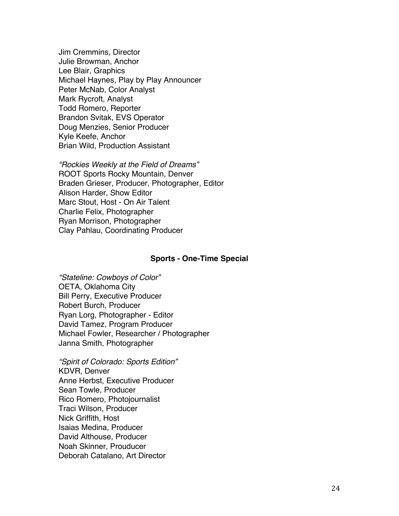Jim Cremmins, Director Julie Browman, Anchor Lee Blair, Graphics Michael Haynes, Play by Play Announcer Peter McNab, Color Analyst Mark Rycroft, Analyst Todd Romero, Reporter Brandon Svitak, EVS Operator Doug Menzies, Senior Producer Kyle Keefe, Anchor Brian Wild, Production Assistant

*"Rockies Weekly at the Field of Dreams"* ROOT Sports Rocky Mountain, Denver Braden Grieser, Producer, Photographer, Editor Alison Harder, Show Editor Marc Stout, Host - On Air Talent Charlie Felix, Photographer Ryan Morrison, Photographer Clay Pahlau, Coordinating Producer

#### **Sports - One-Time Special**

*"Stateline: Cowboys of Color"* OETA, Oklahoma City Bill Perry, Executive Producer Robert Burch, Producer Ryan Lorg, Photographer - Editor David Tamez, Program Producer Michael Fowler, Researcher / Photographer Janna Smith, Photographer

*"Spirit of Colorado: Sports Edition"* KDVR, Denver Anne Herbst, Executive Producer Sean Towle, Producer Rico Romero, Photojournalist Traci Wilson, Producer Nick Griffith, Host Isaias Medina, Producer David Althouse, Producer Noah Skinner, Prouducer Deborah Catalano, Art Director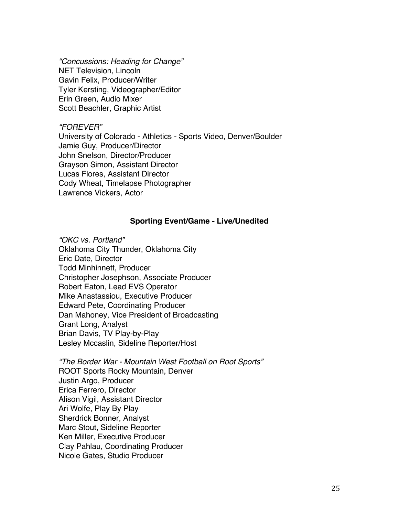*"Concussions: Heading for Change"* NET Television, Lincoln Gavin Felix, Producer/Writer Tyler Kersting, Videographer/Editor Erin Green, Audio Mixer Scott Beachler, Graphic Artist

## *"FOREVER"*

University of Colorado - Athletics - Sports Video, Denver/Boulder Jamie Guy, Producer/Director John Snelson, Director/Producer Grayson Simon, Assistant Director Lucas Flores, Assistant Director Cody Wheat, Timelapse Photographer Lawrence Vickers, Actor

## **Sporting Event/Game - Live/Unedited**

*"OKC vs. Portland"* Oklahoma City Thunder, Oklahoma City Eric Date, Director Todd Minhinnett, Producer Christopher Josephson, Associate Producer Robert Eaton, Lead EVS Operator Mike Anastassiou, Executive Producer Edward Pete, Coordinating Producer Dan Mahoney, Vice President of Broadcasting Grant Long, Analyst Brian Davis, TV Play-by-Play Lesley Mccaslin, Sideline Reporter/Host

*"The Border War - Mountain West Football on Root Sports"* ROOT Sports Rocky Mountain, Denver Justin Argo, Producer Erica Ferrero, Director Alison Vigil, Assistant Director Ari Wolfe, Play By Play Sherdrick Bonner, Analyst Marc Stout, Sideline Reporter Ken Miller, Executive Producer Clay Pahlau, Coordinating Producer Nicole Gates, Studio Producer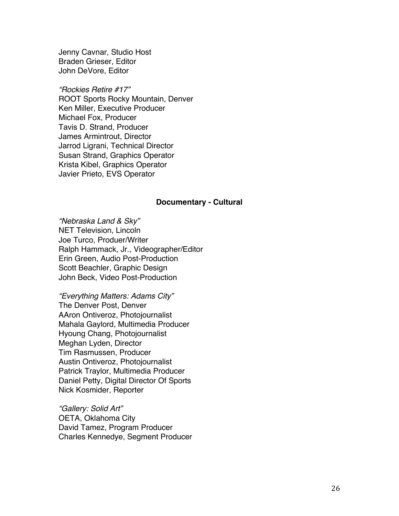Jenny Cavnar, Studio Host Braden Grieser, Editor John DeVore, Editor

#### *"Rockies Retire #17"*

ROOT Sports Rocky Mountain, Denver Ken Miller, Executive Producer Michael Fox, Producer Tavis D. Strand, Producer James Armintrout, Director Jarrod Ligrani, Technical Director Susan Strand, Graphics Operator Krista Kibel, Graphics Operator Javier Prieto, EVS Operator

#### **Documentary - Cultural**

*"Nebraska Land & Sky"* NET Television, Lincoln Joe Turco, Produer/Writer Ralph Hammack, Jr., Videographer/Editor Erin Green, Audio Post-Production Scott Beachler, Graphic Design John Beck, Video Post-Production

*"Everything Matters: Adams City"* The Denver Post, Denver AAron Ontiveroz, Photojournalist Mahala Gaylord, Multimedia Producer Hyoung Chang, Photojournalist Meghan Lyden, Director Tim Rasmussen, Producer Austin Ontiveroz, Photojournalist Patrick Traylor, Multimedia Producer Daniel Petty, Digital Director Of Sports Nick Kosmider, Reporter

*"Gallery: Solid Art"* OETA, Oklahoma City David Tamez, Program Producer Charles Kennedye, Segment Producer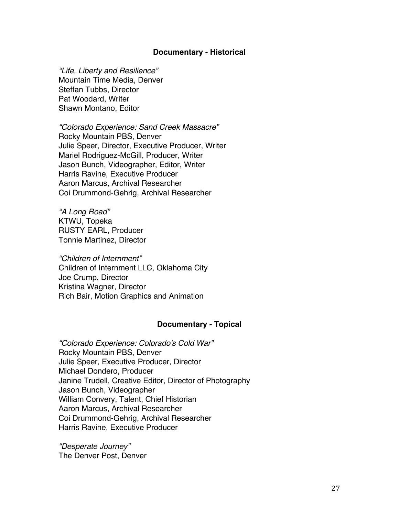### **Documentary - Historical**

*"Life, Liberty and Resilience"* Mountain Time Media, Denver Steffan Tubbs, Director Pat Woodard, Writer Shawn Montano, Editor

*"Colorado Experience: Sand Creek Massacre"* Rocky Mountain PBS, Denver Julie Speer, Director, Executive Producer, Writer Mariel Rodriguez-McGill, Producer, Writer Jason Bunch, Videographer, Editor, Writer Harris Ravine, Executive Producer Aaron Marcus, Archival Researcher Coi Drummond-Gehrig, Archival Researcher

*"A Long Road"* KTWU, Topeka RUSTY EARL, Producer Tonnie Martinez, Director

*"Children of Internment"* Children of Internment LLC, Oklahoma City Joe Crump, Director Kristina Wagner, Director Rich Bair, Motion Graphics and Animation

#### **Documentary - Topical**

*"Colorado Experience: Colorado's Cold War"* Rocky Mountain PBS, Denver Julie Speer, Executive Producer, Director Michael Dondero, Producer Janine Trudell, Creative Editor, Director of Photography Jason Bunch, Videographer William Convery, Talent, Chief Historian Aaron Marcus, Archival Researcher Coi Drummond-Gehrig, Archival Researcher Harris Ravine, Executive Producer

*"Desperate Journey"* The Denver Post, Denver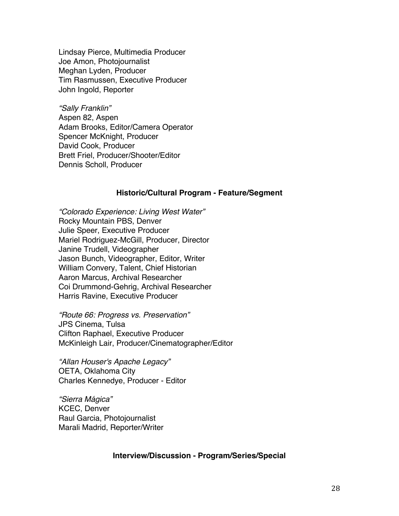Lindsay Pierce, Multimedia Producer Joe Amon, Photojournalist Meghan Lyden, Producer Tim Rasmussen, Executive Producer John Ingold, Reporter

*"Sally Franklin"* Aspen 82, Aspen Adam Brooks, Editor/Camera Operator Spencer McKnight, Producer David Cook, Producer Brett Friel, Producer/Shooter/Editor Dennis Scholl, Producer

#### **Historic/Cultural Program - Feature/Segment**

*"Colorado Experience: Living West Water"* Rocky Mountain PBS, Denver Julie Speer, Executive Producer Mariel Rodriguez-McGill, Producer, Director Janine Trudell, Videographer Jason Bunch, Videographer, Editor, Writer William Convery, Talent, Chief Historian Aaron Marcus, Archival Researcher Coi Drummond-Gehrig, Archival Researcher Harris Ravine, Executive Producer

*"Route 66: Progress vs. Preservation"* JPS Cinema, Tulsa Clifton Raphael, Executive Producer McKinleigh Lair, Producer/Cinematographer/Editor

*"Allan Houser's Apache Legacy"* OETA, Oklahoma City Charles Kennedye, Producer - Editor

*"Sierra Mágica"* KCEC, Denver Raul Garcia, Photojournalist Marali Madrid, Reporter/Writer

## **Interview/Discussion - Program/Series/Special**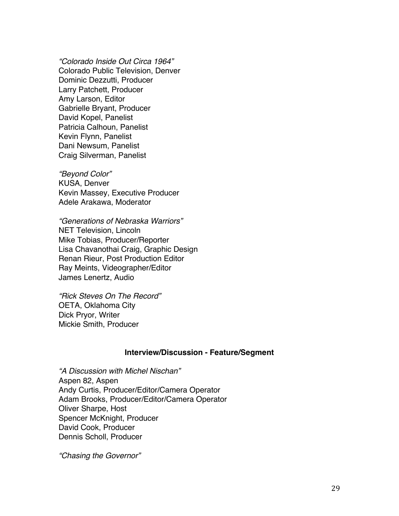*"Colorado Inside Out Circa 1964"* Colorado Public Television, Denver Dominic Dezzutti, Producer Larry Patchett, Producer Amy Larson, Editor Gabrielle Bryant, Producer David Kopel, Panelist Patricia Calhoun, Panelist Kevin Flynn, Panelist Dani Newsum, Panelist Craig Silverman, Panelist

*"Beyond Color"* KUSA, Denver Kevin Massey, Executive Producer Adele Arakawa, Moderator

*"Generations of Nebraska Warriors"* NET Television, Lincoln Mike Tobias, Producer/Reporter Lisa Chavanothai Craig, Graphic Design Renan Rieur, Post Production Editor Ray Meints, Videographer/Editor James Lenertz, Audio

*"Rick Steves On The Record"* OETA, Oklahoma City Dick Pryor, Writer Mickie Smith, Producer

#### **Interview/Discussion - Feature/Segment**

*"A Discussion with Michel Nischan"* Aspen 82, Aspen Andy Curtis, Producer/Editor/Camera Operator Adam Brooks, Producer/Editor/Camera Operator Oliver Sharpe, Host Spencer McKnight, Producer David Cook, Producer Dennis Scholl, Producer

*"Chasing the Governor"*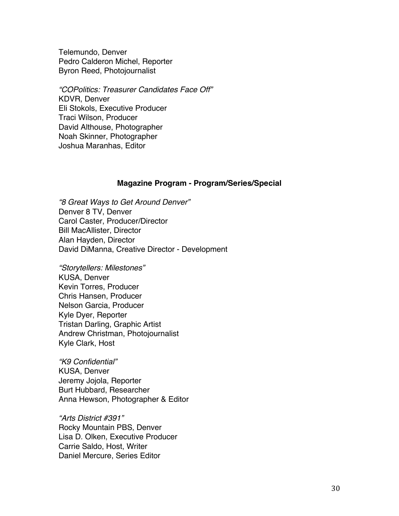Telemundo, Denver Pedro Calderon Michel, Reporter Byron Reed, Photojournalist

*"COPolitics: Treasurer Candidates Face Off"* KDVR, Denver Eli Stokols, Executive Producer Traci Wilson, Producer David Althouse, Photographer Noah Skinner, Photographer Joshua Maranhas, Editor

#### **Magazine Program - Program/Series/Special**

*"8 Great Ways to Get Around Denver"* Denver 8 TV, Denver Carol Caster, Producer/Director Bill MacAllister, Director Alan Hayden, Director David DiManna, Creative Director - Development

*"Storytellers: Milestones"* KUSA, Denver Kevin Torres, Producer Chris Hansen, Producer Nelson Garcia, Producer Kyle Dyer, Reporter Tristan Darling, Graphic Artist Andrew Christman, Photojournalist Kyle Clark, Host

*"K9 Confidential"* KUSA, Denver Jeremy Jojola, Reporter Burt Hubbard, Researcher Anna Hewson, Photographer & Editor

*"Arts District #391"* Rocky Mountain PBS, Denver Lisa D. Olken, Executive Producer Carrie Saldo, Host, Writer Daniel Mercure, Series Editor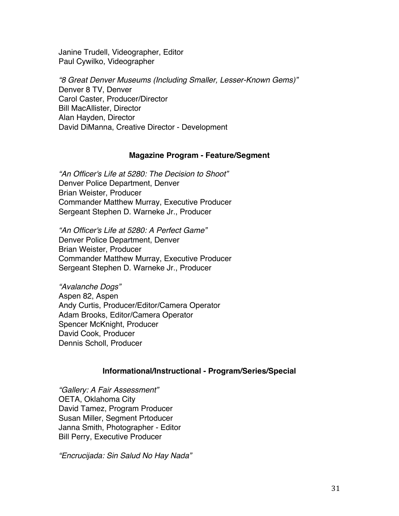Janine Trudell, Videographer, Editor Paul Cywilko, Videographer

*"8 Great Denver Museums (Including Smaller, Lesser-Known Gems)"* Denver 8 TV, Denver Carol Caster, Producer/Director Bill MacAllister, Director Alan Hayden, Director David DiManna, Creative Director - Development

## **Magazine Program - Feature/Segment**

*"An Officer's Life at 5280: The Decision to Shoot"* Denver Police Department, Denver Brian Weister, Producer Commander Matthew Murray, Executive Producer Sergeant Stephen D. Warneke Jr., Producer

*"An Officer's Life at 5280: A Perfect Game"* Denver Police Department, Denver Brian Weister, Producer Commander Matthew Murray, Executive Producer Sergeant Stephen D. Warneke Jr., Producer

*"Avalanche Dogs"* Aspen 82, Aspen Andy Curtis, Producer/Editor/Camera Operator Adam Brooks, Editor/Camera Operator Spencer McKnight, Producer David Cook, Producer Dennis Scholl, Producer

## **Informational/Instructional - Program/Series/Special**

*"Gallery: A Fair Assessment"* OETA, Oklahoma City David Tamez, Program Producer Susan Miller, Segment Prtoducer Janna Smith, Photographer - Editor Bill Perry, Executive Producer

*"Encrucijada: Sin Salud No Hay Nada"*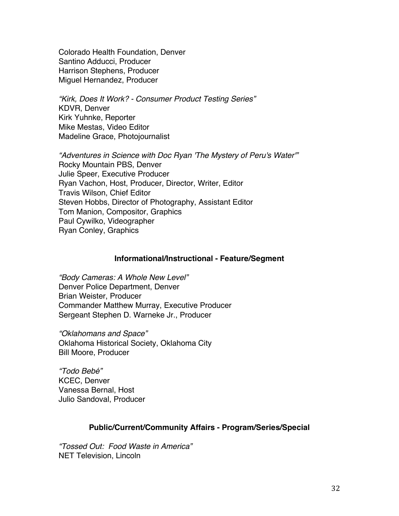Colorado Health Foundation, Denver Santino Adducci, Producer Harrison Stephens, Producer Miguel Hernandez, Producer

*"Kirk, Does It Work? - Consumer Product Testing Series"* KDVR, Denver Kirk Yuhnke, Reporter Mike Mestas, Video Editor Madeline Grace, Photojournalist

*"Adventures in Science with Doc Ryan 'The Mystery of Peru's Water'"* Rocky Mountain PBS, Denver Julie Speer, Executive Producer Ryan Vachon, Host, Producer, Director, Writer, Editor Travis Wilson, Chief Editor Steven Hobbs, Director of Photography, Assistant Editor Tom Manion, Compositor, Graphics Paul Cywilko, Videographer Ryan Conley, Graphics

## **Informational/Instructional - Feature/Segment**

*"Body Cameras: A Whole New Level"* Denver Police Department, Denver Brian Weister, Producer Commander Matthew Murray, Executive Producer Sergeant Stephen D. Warneke Jr., Producer

*"Oklahomans and Space"* Oklahoma Historical Society, Oklahoma City Bill Moore, Producer

*"Todo Bebé"* KCEC, Denver Vanessa Bernal, Host Julio Sandoval, Producer

## **Public/Current/Community Affairs - Program/Series/Special**

*"Tossed Out: Food Waste in America"* NET Television, Lincoln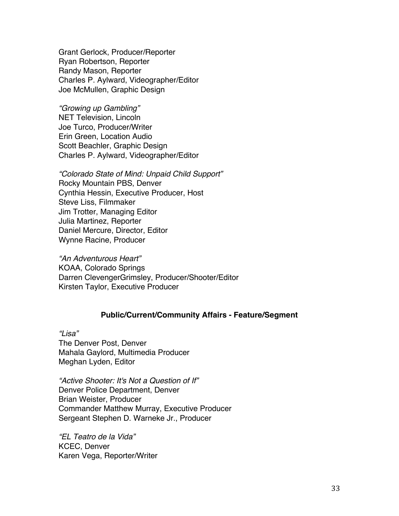Grant Gerlock, Producer/Reporter Ryan Robertson, Reporter Randy Mason, Reporter Charles P. Aylward, Videographer/Editor Joe McMullen, Graphic Design

*"Growing up Gambling"* NET Television, Lincoln Joe Turco, Producer/Writer Erin Green, Location Audio Scott Beachler, Graphic Design Charles P. Aylward, Videographer/Editor

*"Colorado State of Mind: Unpaid Child Support"* Rocky Mountain PBS, Denver Cynthia Hessin, Executive Producer, Host Steve Liss, Filmmaker Jim Trotter, Managing Editor Julia Martinez, Reporter Daniel Mercure, Director, Editor Wynne Racine, Producer

*"An Adventurous Heart"* KOAA, Colorado Springs Darren ClevengerGrimsley, Producer/Shooter/Editor Kirsten Taylor, Executive Producer

## **Public/Current/Community Affairs - Feature/Segment**

*"Lisa"* The Denver Post, Denver Mahala Gaylord, Multimedia Producer Meghan Lyden, Editor

*"Active Shooter: It's Not a Question of If"* Denver Police Department, Denver Brian Weister, Producer Commander Matthew Murray, Executive Producer Sergeant Stephen D. Warneke Jr., Producer

*"EL Teatro de la Vida"* KCEC, Denver Karen Vega, Reporter/Writer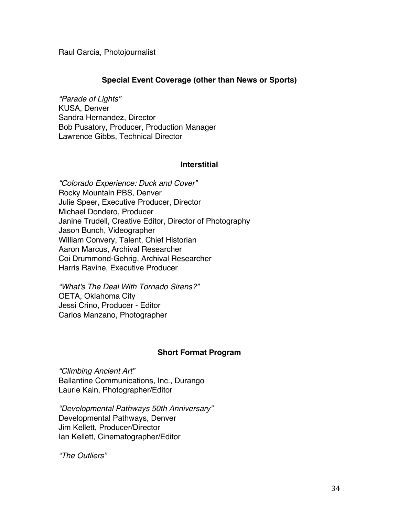Raul Garcia, Photojournalist

## **Special Event Coverage (other than News or Sports)**

*"Parade of Lights"* KUSA, Denver Sandra Hernandez, Director Bob Pusatory, Producer, Production Manager Lawrence Gibbs, Technical Director

## **Interstitial**

*"Colorado Experience: Duck and Cover"* Rocky Mountain PBS, Denver Julie Speer, Executive Producer, Director Michael Dondero, Producer Janine Trudell, Creative Editor, Director of Photography Jason Bunch, Videographer William Convery, Talent, Chief Historian Aaron Marcus, Archival Researcher Coi Drummond-Gehrig, Archival Researcher Harris Ravine, Executive Producer

*"What's The Deal With Tornado Sirens?"* OETA, Oklahoma City Jessi Crino, Producer - Editor Carlos Manzano, Photographer

## **Short Format Program**

*"Climbing Ancient Art"* Ballantine Communications, Inc., Durango Laurie Kain, Photographer/Editor

*"Developmental Pathways 50th Anniversary"* Developmental Pathways, Denver Jim Kellett, Producer/Director Ian Kellett, Cinematographer/Editor

*"The Outliers"*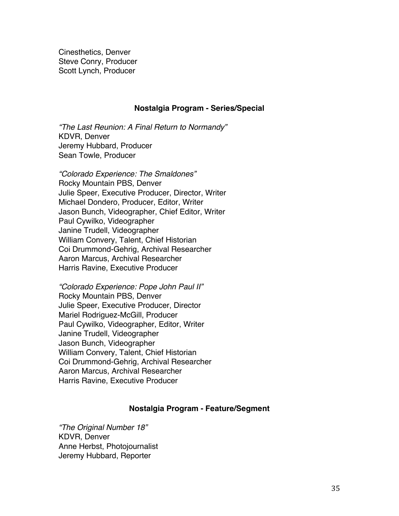Cinesthetics, Denver Steve Conry, Producer Scott Lynch, Producer

#### **Nostalgia Program - Series/Special**

*"The Last Reunion: A Final Return to Normandy"* KDVR, Denver Jeremy Hubbard, Producer Sean Towle, Producer

*"Colorado Experience: The Smaldones"* Rocky Mountain PBS, Denver Julie Speer, Executive Producer, Director, Writer Michael Dondero, Producer, Editor, Writer Jason Bunch, Videographer, Chief Editor, Writer Paul Cywilko, Videographer Janine Trudell, Videographer William Convery, Talent, Chief Historian Coi Drummond-Gehrig, Archival Researcher Aaron Marcus, Archival Researcher Harris Ravine, Executive Producer

*"Colorado Experience: Pope John Paul II"* Rocky Mountain PBS, Denver Julie Speer, Executive Producer, Director Mariel Rodriguez-McGill, Producer Paul Cywilko, Videographer, Editor, Writer Janine Trudell, Videographer Jason Bunch, Videographer William Convery, Talent, Chief Historian Coi Drummond-Gehrig, Archival Researcher Aaron Marcus, Archival Researcher Harris Ravine, Executive Producer

## **Nostalgia Program - Feature/Segment**

*"The Original Number 18"* KDVR, Denver Anne Herbst, Photojournalist Jeremy Hubbard, Reporter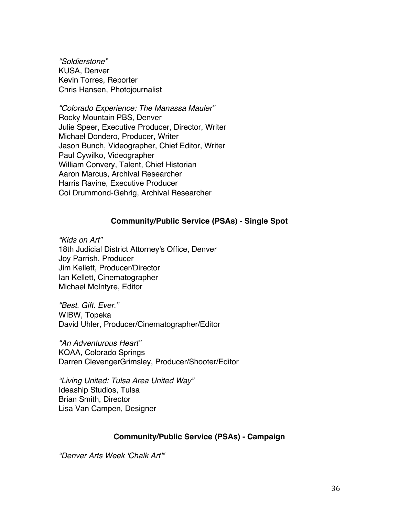*"Soldierstone"* KUSA, Denver Kevin Torres, Reporter Chris Hansen, Photojournalist

*"Colorado Experience: The Manassa Mauler"* Rocky Mountain PBS, Denver Julie Speer, Executive Producer, Director, Writer Michael Dondero, Producer, Writer Jason Bunch, Videographer, Chief Editor, Writer Paul Cywilko, Videographer William Convery, Talent, Chief Historian Aaron Marcus, Archival Researcher Harris Ravine, Executive Producer Coi Drummond-Gehrig, Archival Researcher

### **Community/Public Service (PSAs) - Single Spot**

*"Kids on Art"* 18th Judicial District Attorney's Office, Denver Joy Parrish, Producer Jim Kellett, Producer/Director Ian Kellett, Cinematographer Michael McIntyre, Editor

*"Best. Gift. Ever."* WIBW, Topeka David Uhler, Producer/Cinematographer/Editor

*"An Adventurous Heart"* KOAA, Colorado Springs Darren ClevengerGrimsley, Producer/Shooter/Editor

*"Living United: Tulsa Area United Way"* Ideaship Studios, Tulsa Brian Smith, Director Lisa Van Campen, Designer

## **Community/Public Service (PSAs) - Campaign**

*"Denver Arts Week 'Chalk Art'"*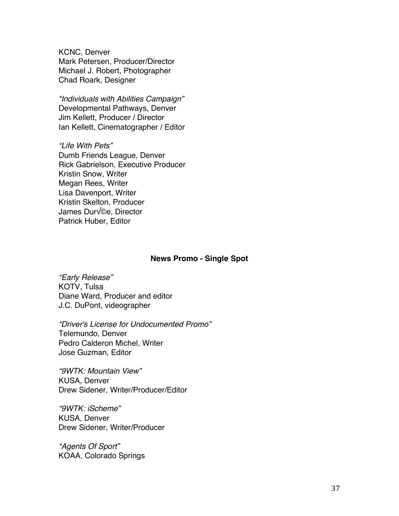KCNC, Denver Mark Petersen, Producer/Director Michael J. Robert, Photographer Chad Roark, Designer

*"Individuals with Abilities Campaign"* Developmental Pathways, Denver Jim Kellett, Producer / Director Ian Kellett, Cinematographer / Editor

*"Life With Pets"* Dumb Friends League, Denver Rick Gabrielson, Executive Producer Kristin Snow, Writer Megan Rees, Writer Lisa Davenport, Writer Kristin Skelton, Producer James Dur√©e, Director Patrick Huber, Editor

#### **News Promo - Single Spot**

*"Early Release"* KOTV, Tulsa Diane Ward, Producer and editor J.C. DuPont, videographer

*"Driver's License for Undocumented Promo"* Telemundo, Denver Pedro Calderon Michel, Writer Jose Guzman, Editor

*"9WTK: Mountain View"* KUSA, Denver Drew Sidener, Writer/Producer/Editor

*"9WTK: iScheme"* KUSA, Denver Drew Sidener, Writer/Producer

*"Agents Of Sport"* KOAA, Colorado Springs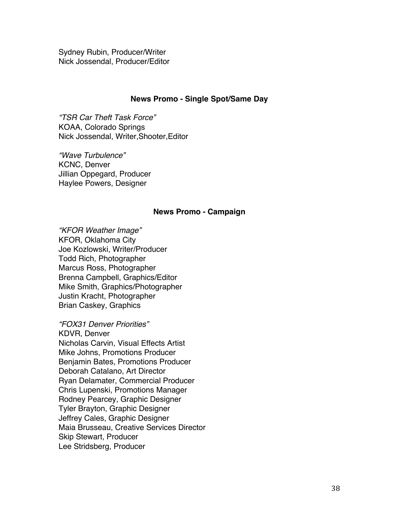Sydney Rubin, Producer/Writer Nick Jossendal, Producer/Editor

### **News Promo - Single Spot/Same Day**

*"TSR Car Theft Task Force"* KOAA, Colorado Springs Nick Jossendal, Writer,Shooter,Editor

*"Wave Turbulence"* KCNC, Denver Jillian Oppegard, Producer Haylee Powers, Designer

#### **News Promo - Campaign**

*"KFOR Weather Image"* KFOR, Oklahoma City Joe Kozlowski, Writer/Producer Todd Rich, Photographer Marcus Ross, Photographer Brenna Campbell, Graphics/Editor Mike Smith, Graphics/Photographer Justin Kracht, Photographer Brian Caskey, Graphics

*"FOX31 Denver Priorities"* KDVR, Denver Nicholas Carvin, Visual Effects Artist Mike Johns, Promotions Producer Benjamin Bates, Promotions Producer Deborah Catalano, Art Director Ryan Delamater, Commercial Producer Chris Lupenski, Promotions Manager Rodney Pearcey, Graphic Designer Tyler Brayton, Graphic Designer Jeffrey Cales, Graphic Designer Maia Brusseau, Creative Services Director Skip Stewart, Producer Lee Stridsberg, Producer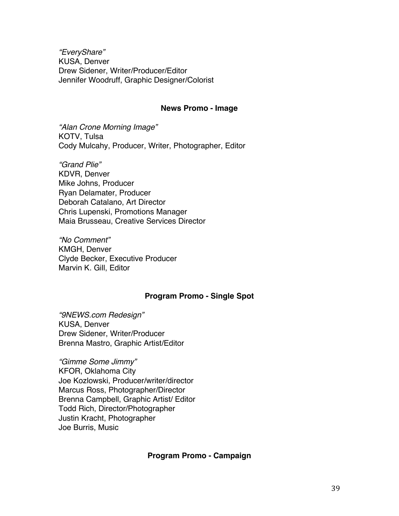*"EveryShare"* KUSA, Denver Drew Sidener, Writer/Producer/Editor Jennifer Woodruff, Graphic Designer/Colorist

#### **News Promo - Image**

*"Alan Crone Morning Image"* KOTV, Tulsa Cody Mulcahy, Producer, Writer, Photographer, Editor

*"Grand Plie"* KDVR, Denver Mike Johns, Producer Ryan Delamater, Producer Deborah Catalano, Art Director Chris Lupenski, Promotions Manager Maia Brusseau, Creative Services Director

*"No Comment"* KMGH, Denver Clyde Becker, Executive Producer Marvin K. Gill, Editor

## **Program Promo - Single Spot**

*"9NEWS.com Redesign"* KUSA, Denver Drew Sidener, Writer/Producer Brenna Mastro, Graphic Artist/Editor

*"Gimme Some Jimmy"* KFOR, Oklahoma City Joe Kozlowski, Producer/writer/director Marcus Ross, Photographer/Director Brenna Campbell, Graphic Artist/ Editor Todd Rich, Director/Photographer Justin Kracht, Photographer Joe Burris, Music

## **Program Promo - Campaign**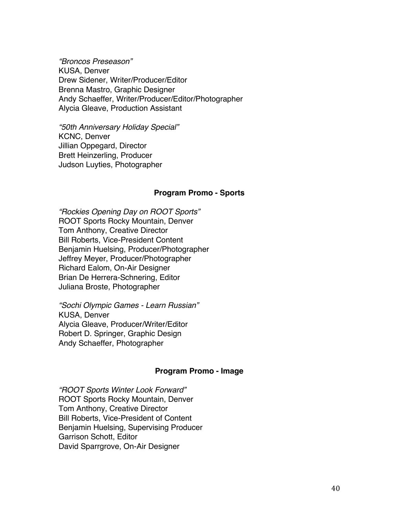*"Broncos Preseason"* KUSA, Denver Drew Sidener, Writer/Producer/Editor Brenna Mastro, Graphic Designer Andy Schaeffer, Writer/Producer/Editor/Photographer Alycia Gleave, Production Assistant

*"50th Anniversary Holiday Special"* KCNC, Denver Jillian Oppegard, Director Brett Heinzerling, Producer Judson Luyties, Photographer

### **Program Promo - Sports**

*"Rockies Opening Day on ROOT Sports"* ROOT Sports Rocky Mountain, Denver Tom Anthony, Creative Director Bill Roberts, Vice-President Content Benjamin Huelsing, Producer/Photographer Jeffrey Meyer, Producer/Photographer Richard Ealom, On-Air Designer Brian De Herrera-Schnering, Editor Juliana Broste, Photographer

*"Sochi Olympic Games - Learn Russian"* KUSA, Denver Alycia Gleave, Producer/Writer/Editor Robert D. Springer, Graphic Design Andy Schaeffer, Photographer

## **Program Promo - Image**

*"ROOT Sports Winter Look Forward"* ROOT Sports Rocky Mountain, Denver Tom Anthony, Creative Director Bill Roberts, Vice-President of Content Benjamin Huelsing, Supervising Producer Garrison Schott, Editor David Sparrgrove, On-Air Designer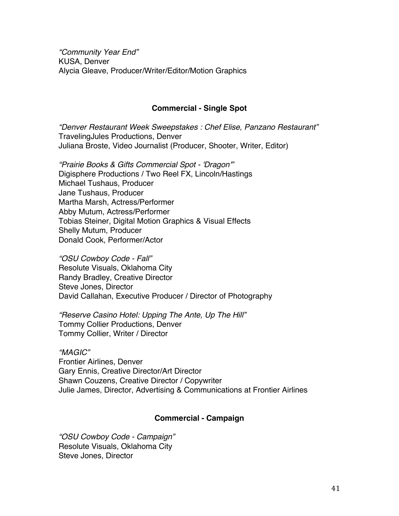*"Community Year End"* KUSA, Denver Alycia Gleave, Producer/Writer/Editor/Motion Graphics

## **Commercial - Single Spot**

*"Denver Restaurant Week Sweepstakes : Chef Elise, Panzano Restaurant"* TravelingJules Productions, Denver Juliana Broste, Video Journalist (Producer, Shooter, Writer, Editor)

*"Prairie Books & Gifts Commercial Spot - 'Dragon'"* Digisphere Productions / Two Reel FX, Lincoln/Hastings Michael Tushaus, Producer Jane Tushaus, Producer Martha Marsh, Actress/Performer Abby Mutum, Actress/Performer Tobias Steiner, Digital Motion Graphics & Visual Effects Shelly Mutum, Producer Donald Cook, Performer/Actor

*"OSU Cowboy Code - Fall"* Resolute Visuals, Oklahoma City Randy Bradley, Creative Director Steve Jones, Director David Callahan, Executive Producer / Director of Photography

*"Reserve Casino Hotel: Upping The Ante, Up The Hill"* Tommy Collier Productions, Denver Tommy Collier, Writer / Director

*"MAGIC"* Frontier Airlines, Denver Gary Ennis, Creative Director/Art Director Shawn Couzens, Creative Director / Copywriter Julie James, Director, Advertising & Communications at Frontier Airlines

## **Commercial - Campaign**

*"OSU Cowboy Code - Campaign"* Resolute Visuals, Oklahoma City Steve Jones, Director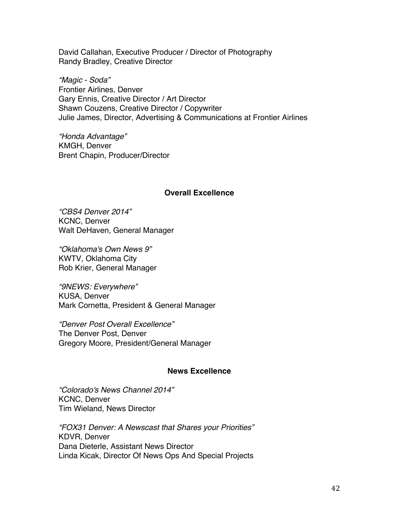David Callahan, Executive Producer / Director of Photography Randy Bradley, Creative Director

*"Magic - Soda"* Frontier Airlines, Denver Gary Ennis, Creative Director / Art Director Shawn Couzens, Creative Director / Copywriter Julie James, Director, Advertising & Communications at Frontier Airlines

*"Honda Advantage"* KMGH, Denver Brent Chapin, Producer/Director

## **Overall Excellence**

*"CBS4 Denver 2014"* KCNC, Denver Walt DeHaven, General Manager

*"Oklahoma's Own News 9"* KWTV, Oklahoma City Rob Krier, General Manager

*"9NEWS: Everywhere"* KUSA, Denver Mark Cornetta, President & General Manager

*"Denver Post Overall Excellence"* The Denver Post, Denver Gregory Moore, President/General Manager

## **News Excellence**

*"Colorado's News Channel 2014"* KCNC, Denver Tim Wieland, News Director

*"FOX31 Denver: A Newscast that Shares your Priorities"* KDVR, Denver Dana Dieterle, Assistant News Director Linda Kicak, Director Of News Ops And Special Projects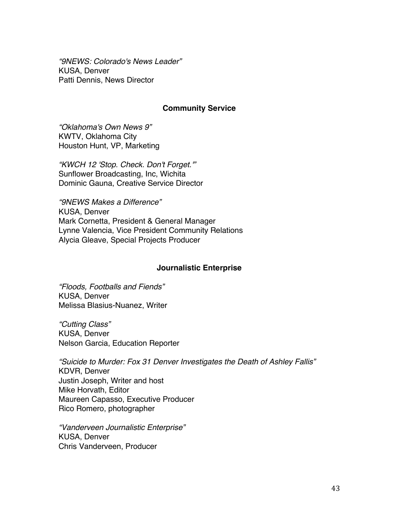*"9NEWS: Colorado's News Leader"* KUSA, Denver Patti Dennis, News Director

## **Community Service**

*"Oklahoma's Own News 9"* KWTV, Oklahoma City Houston Hunt, VP, Marketing

*"KWCH 12 'Stop. Check. Don't Forget.'"* Sunflower Broadcasting, Inc, Wichita Dominic Gauna, Creative Service Director

*"9NEWS Makes a Difference"* KUSA, Denver Mark Cornetta, President & General Manager Lynne Valencia, Vice President Community Relations Alycia Gleave, Special Projects Producer

## **Journalistic Enterprise**

*"Floods, Footballs and Fiends"* KUSA, Denver Melissa Blasius-Nuanez, Writer

*"Cutting Class"* KUSA, Denver Nelson Garcia, Education Reporter

*"Suicide to Murder: Fox 31 Denver Investigates the Death of Ashley Fallis"* KDVR, Denver Justin Joseph, Writer and host Mike Horvath, Editor Maureen Capasso, Executive Producer Rico Romero, photographer

*"Vanderveen Journalistic Enterprise"* KUSA, Denver Chris Vanderveen, Producer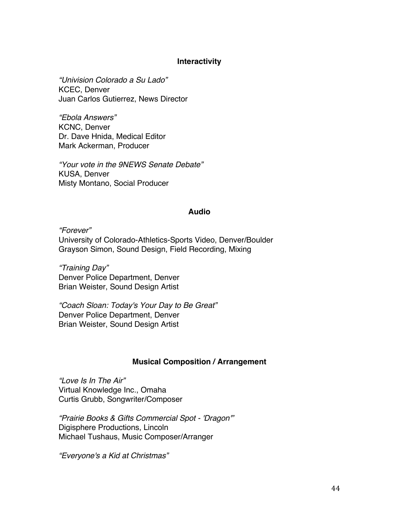## **Interactivity**

*"Univision Colorado a Su Lado"* KCEC, Denver Juan Carlos Gutierrez, News Director

*"Ebola Answers"* KCNC, Denver Dr. Dave Hnida, Medical Editor Mark Ackerman, Producer

*"Your vote in the 9NEWS Senate Debate"* KUSA, Denver Misty Montano, Social Producer

### **Audio**

*"Forever"* University of Colorado-Athletics-Sports Video, Denver/Boulder Grayson Simon, Sound Design, Field Recording, Mixing

*"Training Day"* Denver Police Department, Denver Brian Weister, Sound Design Artist

*"Coach Sloan: Today's Your Day to Be Great"* Denver Police Department, Denver Brian Weister, Sound Design Artist

## **Musical Composition / Arrangement**

*"Love Is In The Air"* Virtual Knowledge Inc., Omaha Curtis Grubb, Songwriter/Composer

*"Prairie Books & Gifts Commercial Spot - 'Dragon'"* Digisphere Productions, Lincoln Michael Tushaus, Music Composer/Arranger

*"Everyone's a Kid at Christmas"*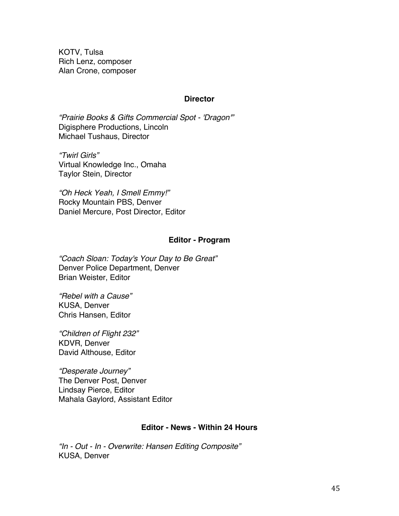KOTV, Tulsa Rich Lenz, composer Alan Crone, composer

### **Director**

*"Prairie Books & Gifts Commercial Spot - 'Dragon'"* Digisphere Productions, Lincoln Michael Tushaus, Director

*"Twirl Girls"* Virtual Knowledge Inc., Omaha Taylor Stein, Director

*"Oh Heck Yeah, I Smell Emmy!"* Rocky Mountain PBS, Denver Daniel Mercure, Post Director, Editor

## **Editor - Program**

*"Coach Sloan: Today's Your Day to Be Great"* Denver Police Department, Denver Brian Weister, Editor

*"Rebel with a Cause"* KUSA, Denver Chris Hansen, Editor

*"Children of Flight 232"* KDVR, Denver David Althouse, Editor

*"Desperate Journey"* The Denver Post, Denver Lindsay Pierce, Editor Mahala Gaylord, Assistant Editor

## **Editor - News - Within 24 Hours**

*"In - Out - In - Overwrite: Hansen Editing Composite"* KUSA, Denver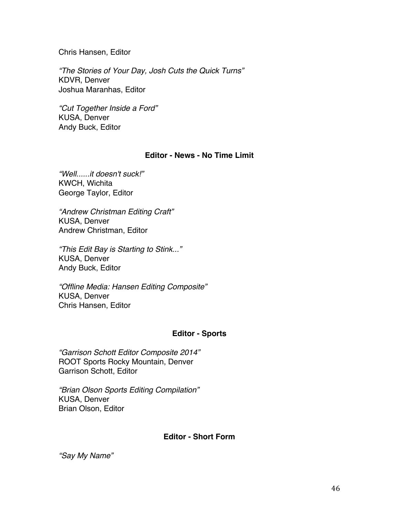Chris Hansen, Editor

*"The Stories of Your Day, Josh Cuts the Quick Turns"* KDVR, Denver Joshua Maranhas, Editor

*"Cut Together Inside a Ford"* KUSA, Denver Andy Buck, Editor

## **Editor - News - No Time Limit**

*"Well......it doesn't suck!"* KWCH, Wichita George Taylor, Editor

*"Andrew Christman Editing Craft"* KUSA, Denver Andrew Christman, Editor

*"This Edit Bay is Starting to Stink..."* KUSA, Denver Andy Buck, Editor

*"Offline Media: Hansen Editing Composite"* KUSA, Denver Chris Hansen, Editor

# **Editor - Sports**

*"Garrison Schott Editor Composite 2014"* ROOT Sports Rocky Mountain, Denver Garrison Schott, Editor

*"Brian Olson Sports Editing Compilation"* KUSA, Denver Brian Olson, Editor

# **Editor - Short Form**

*"Say My Name"*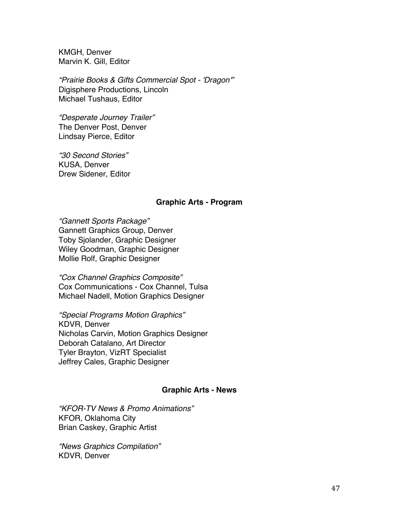KMGH, Denver Marvin K. Gill, Editor

*"Prairie Books & Gifts Commercial Spot - 'Dragon'"* Digisphere Productions, Lincoln Michael Tushaus, Editor

*"Desperate Journey Trailer"* The Denver Post, Denver Lindsay Pierce, Editor

*"30 Second Stories"* KUSA, Denver Drew Sidener, Editor

## **Graphic Arts - Program**

*"Gannett Sports Package"* Gannett Graphics Group, Denver Toby Sjolander, Graphic Designer Wiley Goodman, Graphic Designer Mollie Rolf, Graphic Designer

*"Cox Channel Graphics Composite"* Cox Communications - Cox Channel, Tulsa Michael Nadell, Motion Graphics Designer

*"Special Programs Motion Graphics"* KDVR, Denver Nicholas Carvin, Motion Graphics Designer Deborah Catalano, Art Director Tyler Brayton, VizRT Specialist Jeffrey Cales, Graphic Designer

## **Graphic Arts - News**

*"KFOR-TV News & Promo Animations"* KFOR, Oklahoma City Brian Caskey, Graphic Artist

*"News Graphics Compilation"* KDVR, Denver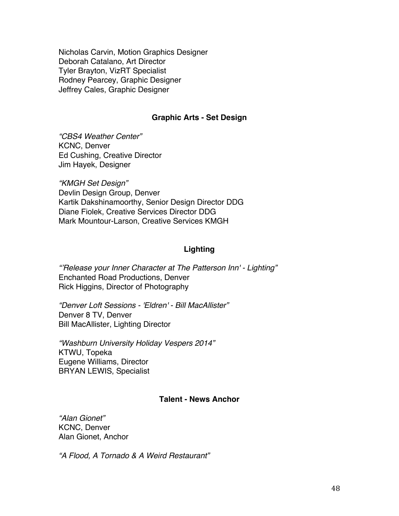Nicholas Carvin, Motion Graphics Designer Deborah Catalano, Art Director Tyler Brayton, VizRT Specialist Rodney Pearcey, Graphic Designer Jeffrey Cales, Graphic Designer

# **Graphic Arts - Set Design**

*"CBS4 Weather Center"* KCNC, Denver Ed Cushing, Creative Director Jim Hayek, Designer

*"KMGH Set Design"* Devlin Design Group, Denver Kartik Dakshinamoorthy, Senior Design Director DDG Diane Fiolek, Creative Services Director DDG Mark Mountour-Larson, Creative Services KMGH

# **Lighting**

*"'Release your Inner Character at The Patterson Inn' - Lighting"* Enchanted Road Productions, Denver Rick Higgins, Director of Photography

*"Denver Loft Sessions - 'Eldren' - Bill MacAllister"* Denver 8 TV, Denver Bill MacAllister, Lighting Director

*"Washburn University Holiday Vespers 2014"* KTWU, Topeka Eugene Williams, Director BRYAN LEWIS, Specialist

## **Talent - News Anchor**

*"Alan Gionet"* KCNC, Denver Alan Gionet, Anchor

*"A Flood, A Tornado & A Weird Restaurant"*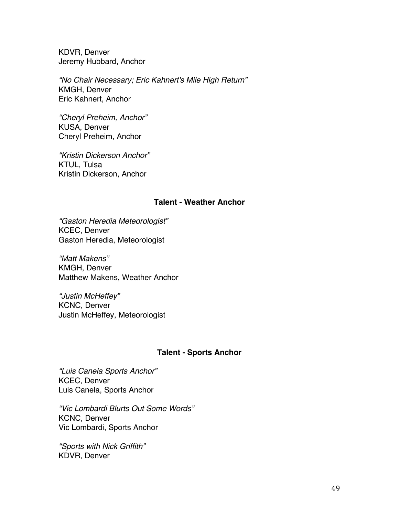KDVR, Denver Jeremy Hubbard, Anchor

*"No Chair Necessary; Eric Kahnert's Mile High Return"* KMGH, Denver Eric Kahnert, Anchor

*"Cheryl Preheim, Anchor"* KUSA, Denver Cheryl Preheim, Anchor

*"Kristin Dickerson Anchor"* KTUL, Tulsa Kristin Dickerson, Anchor

## **Talent - Weather Anchor**

*"Gaston Heredia Meteorologist"* KCEC, Denver Gaston Heredia, Meteorologist

*"Matt Makens"* KMGH, Denver Matthew Makens, Weather Anchor

*"Justin McHeffey"* KCNC, Denver Justin McHeffey, Meteorologist

## **Talent - Sports Anchor**

*"Luis Canela Sports Anchor"* KCEC, Denver Luis Canela, Sports Anchor

*"Vic Lombardi Blurts Out Some Words"* KCNC, Denver Vic Lombardi, Sports Anchor

*"Sports with Nick Griffith"* KDVR, Denver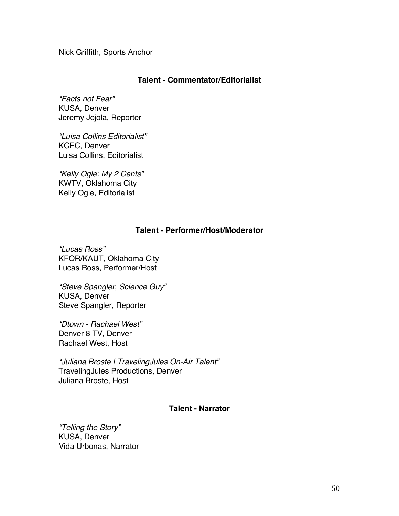Nick Griffith, Sports Anchor

## **Talent - Commentator/Editorialist**

*"Facts not Fear"* KUSA, Denver Jeremy Jojola, Reporter

*"Luisa Collins Editorialist"* KCEC, Denver Luisa Collins, Editorialist

*"Kelly Ogle: My 2 Cents"* KWTV, Oklahoma City Kelly Ogle, Editorialist

## **Talent - Performer/Host/Moderator**

*"Lucas Ross"* KFOR/KAUT, Oklahoma City Lucas Ross, Performer/Host

*"Steve Spangler, Science Guy"* KUSA, Denver Steve Spangler, Reporter

*"Dtown - Rachael West"* Denver 8 TV, Denver Rachael West, Host

*"Juliana Broste | TravelingJules On-Air Talent"* TravelingJules Productions, Denver Juliana Broste, Host

## **Talent - Narrator**

*"Telling the Story"* KUSA, Denver Vida Urbonas, Narrator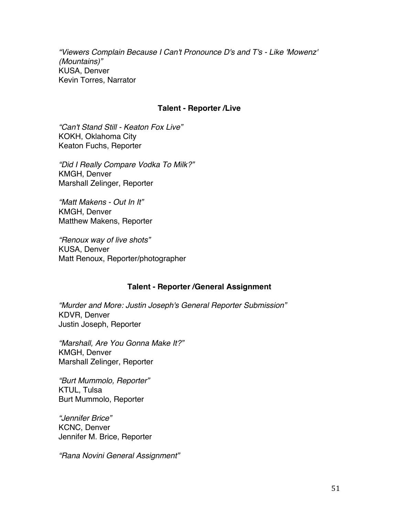*"Viewers Complain Because I Can't Pronounce D's and T's - Like 'Mowenz' (Mountains)"* KUSA, Denver Kevin Torres, Narrator

## **Talent - Reporter /Live**

*"Can't Stand Still - Keaton Fox Live"* KOKH, Oklahoma City Keaton Fuchs, Reporter

*"Did I Really Compare Vodka To Milk?"* KMGH, Denver Marshall Zelinger, Reporter

*"Matt Makens - Out In It"* KMGH, Denver Matthew Makens, Reporter

*"Renoux way of live shots"* KUSA, Denver Matt Renoux, Reporter/photographer

## **Talent - Reporter /General Assignment**

*"Murder and More: Justin Joseph's General Reporter Submission"* KDVR, Denver Justin Joseph, Reporter

*"Marshall, Are You Gonna Make It?"* KMGH, Denver Marshall Zelinger, Reporter

*"Burt Mummolo, Reporter"* KTUL, Tulsa Burt Mummolo, Reporter

*"Jennifer Brice"* KCNC, Denver Jennifer M. Brice, Reporter

*"Rana Novini General Assignment"*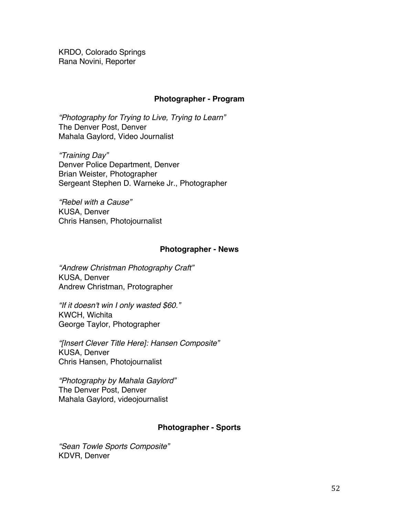KRDO, Colorado Springs Rana Novini, Reporter

## **Photographer - Program**

*"Photography for Trying to Live, Trying to Learn"* The Denver Post, Denver Mahala Gaylord, Video Journalist

*"Training Day"* Denver Police Department, Denver Brian Weister, Photographer Sergeant Stephen D. Warneke Jr., Photographer

*"Rebel with a Cause"* KUSA, Denver Chris Hansen, Photojournalist

## **Photographer - News**

*"Andrew Christman Photography Craft"* KUSA, Denver Andrew Christman, Protographer

*"If it doesn't win I only wasted \$60."* KWCH, Wichita George Taylor, Photographer

*"[Insert Clever Title Here]: Hansen Composite"* KUSA, Denver Chris Hansen, Photojournalist

*"Photography by Mahala Gaylord"* The Denver Post, Denver Mahala Gaylord, videojournalist

## **Photographer - Sports**

*"Sean Towle Sports Composite"* KDVR, Denver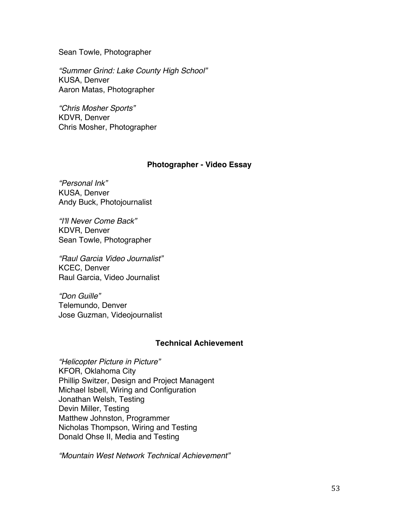Sean Towle, Photographer

*"Summer Grind: Lake County High School"* KUSA, Denver Aaron Matas, Photographer

*"Chris Mosher Sports"* KDVR, Denver Chris Mosher, Photographer

## **Photographer - Video Essay**

*"Personal Ink"* KUSA, Denver Andy Buck, Photojournalist

*"I'll Never Come Back"* KDVR, Denver Sean Towle, Photographer

*"Raul Garcia Video Journalist"* KCEC, Denver Raul Garcia, Video Journalist

*"Don Guille"* Telemundo, Denver Jose Guzman, Videojournalist

## **Technical Achievement**

*"Helicopter Picture in Picture"* KFOR, Oklahoma City Phillip Switzer, Design and Project Managent Michael Isbell, Wiring and Configuration Jonathan Welsh, Testing Devin Miller, Testing Matthew Johnston, Programmer Nicholas Thompson, Wiring and Testing Donald Ohse II, Media and Testing

*"Mountain West Network Technical Achievement"*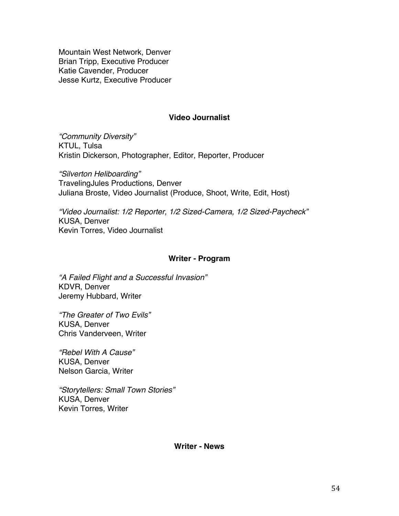Mountain West Network, Denver Brian Tripp, Executive Producer Katie Cavender, Producer Jesse Kurtz, Executive Producer

## **Video Journalist**

*"Community Diversity"* KTUL, Tulsa Kristin Dickerson, Photographer, Editor, Reporter, Producer

*"Silverton Heliboarding"* TravelingJules Productions, Denver Juliana Broste, Video Journalist (Produce, Shoot, Write, Edit, Host)

*"Video Journalist: 1/2 Reporter, 1/2 Sized-Camera, 1/2 Sized-Paycheck"* KUSA, Denver Kevin Torres, Video Journalist

#### **Writer - Program**

*"A Failed Flight and a Successful Invasion"* KDVR, Denver Jeremy Hubbard, Writer

*"The Greater of Two Evils"* KUSA, Denver Chris Vanderveen, Writer

*"Rebel With A Cause"* KUSA, Denver Nelson Garcia, Writer

*"Storytellers: Small Town Stories"* KUSA, Denver Kevin Torres, Writer

**Writer - News**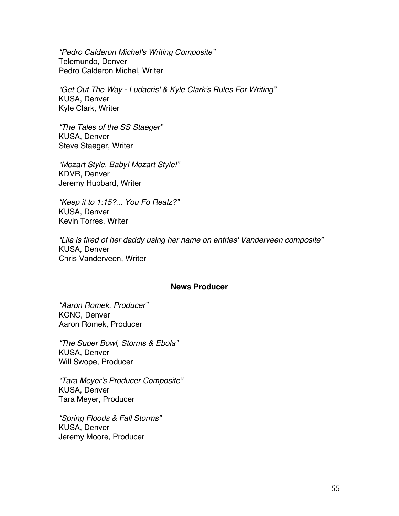*"Pedro Calderon Michel's Writing Composite"* Telemundo, Denver Pedro Calderon Michel, Writer

*"Get Out The Way - Ludacris' & Kyle Clark's Rules For Writing"* KUSA, Denver Kyle Clark, Writer

*"The Tales of the SS Staeger"* KUSA, Denver Steve Staeger, Writer

*"Mozart Style, Baby! Mozart Style!"* KDVR, Denver Jeremy Hubbard, Writer

*"Keep it to 1:15?... You Fo Realz?"* KUSA, Denver Kevin Torres, Writer

*"Lila is tired of her daddy using her name on entries' Vanderveen composite"* KUSA, Denver Chris Vanderveen, Writer

## **News Producer**

*"Aaron Romek, Producer"* KCNC, Denver Aaron Romek, Producer

*"The Super Bowl, Storms & Ebola"* KUSA, Denver Will Swope, Producer

*"Tara Meyer's Producer Composite"* KUSA, Denver Tara Meyer, Producer

*"Spring Floods & Fall Storms"* KUSA, Denver Jeremy Moore, Producer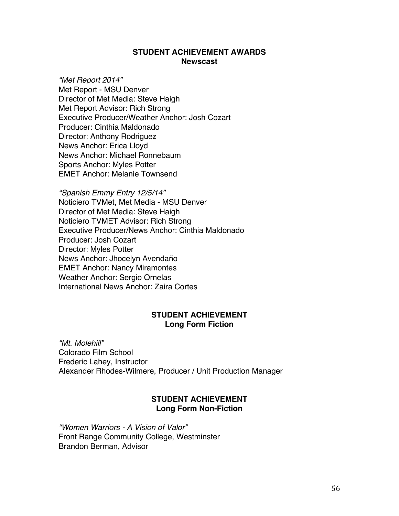## **STUDENT ACHIEVEMENT AWARDS Newscast**

*"Met Report 2014"* Met Report - MSU Denver Director of Met Media: Steve Haigh Met Report Advisor: Rich Strong Executive Producer/Weather Anchor: Josh Cozart Producer: Cinthia Maldonado Director: Anthony Rodriguez News Anchor: Erica Lloyd News Anchor: Michael Ronnebaum Sports Anchor: Myles Potter EMET Anchor: Melanie Townsend

*"Spanish Emmy Entry 12/5/14"* Noticiero TVMet, Met Media - MSU Denver Director of Met Media: Steve Haigh Noticiero TVMET Advisor: Rich Strong Executive Producer/News Anchor: Cinthia Maldonado Producer: Josh Cozart Director: Myles Potter News Anchor: Jhocelyn Avendaño EMET Anchor: Nancy Miramontes Weather Anchor: Sergio Ornelas International News Anchor: Zaira Cortes

## **STUDENT ACHIEVEMENT Long Form Fiction**

*"Mt. Molehill"* Colorado Film School Frederic Lahey, Instructor Alexander Rhodes-Wilmere, Producer / Unit Production Manager

## **STUDENT ACHIEVEMENT Long Form Non-Fiction**

*"Women Warriors - A Vision of Valor"* Front Range Community College, Westminster Brandon Berman, Advisor